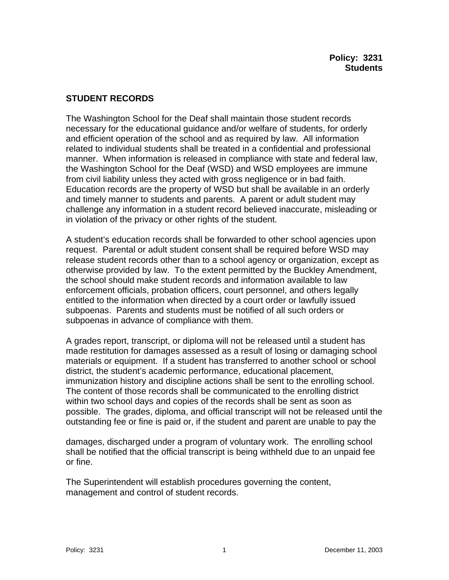## **STUDENT RECORDS**

The Washington School for the Deaf shall maintain those student records necessary for the educational guidance and/or welfare of students, for orderly and efficient operation of the school and as required by law. All information related to individual students shall be treated in a confidential and professional manner. When information is released in compliance with state and federal law, the Washington School for the Deaf (WSD) and WSD employees are immune from civil liability unless they acted with gross negligence or in bad faith. Education records are the property of WSD but shall be available in an orderly and timely manner to students and parents. A parent or adult student may challenge any information in a student record believed inaccurate, misleading or in violation of the privacy or other rights of the student.

A student's education records shall be forwarded to other school agencies upon request. Parental or adult student consent shall be required before WSD may release student records other than to a school agency or organization, except as otherwise provided by law. To the extent permitted by the Buckley Amendment, the school should make student records and information available to law enforcement officials, probation officers, court personnel, and others legally entitled to the information when directed by a court order or lawfully issued subpoenas. Parents and students must be notified of all such orders or subpoenas in advance of compliance with them.

A grades report, transcript, or diploma will not be released until a student has made restitution for damages assessed as a result of losing or damaging school materials or equipment. If a student has transferred to another school or school district, the student's academic performance, educational placement, immunization history and discipline actions shall be sent to the enrolling school. The content of those records shall be communicated to the enrolling district within two school days and copies of the records shall be sent as soon as possible. The grades, diploma, and official transcript will not be released until the outstanding fee or fine is paid or, if the student and parent are unable to pay the

damages, discharged under a program of voluntary work. The enrolling school shall be notified that the official transcript is being withheld due to an unpaid fee or fine.

The Superintendent will establish procedures governing the content, management and control of student records.